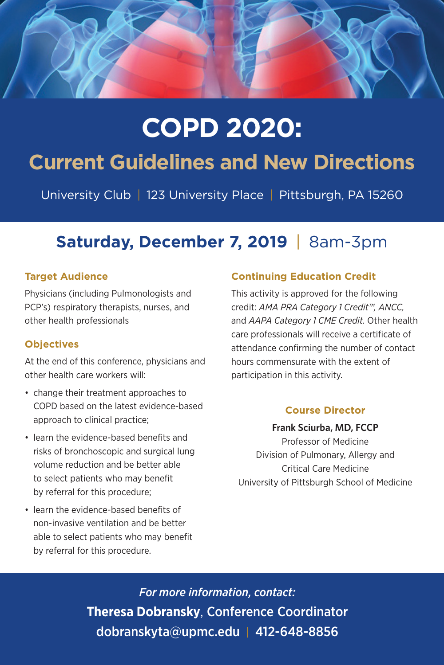

# **COPD 2020:**

## **Current Guidelines and New Directions**

University Club | 123 University Place | Pittsburgh, PA 15260

### **Saturday, December 7, 2019** | 8am-3pm

#### **Target Audience**

Physicians (including Pulmonologists and PCP's) respiratory therapists, nurses, and other health professionals

#### **Objectives**

At the end of this conference, physicians and other health care workers will:

- change their treatment approaches to COPD based on the latest evidence-based approach to clinical practice;
- learn the evidence-based benefits and risks of bronchoscopic and surgical lung volume reduction and be better able to select patients who may benefit by referral for this procedure;
- learn the evidence-based benefits of non-invasive ventilation and be better able to select patients who may benefit by referral for this procedure.

#### **Continuing Education Credit**

This activity is approved for the following credit: *AMA PRA Category 1 Credit™, ANCC,*  and *AAPA Category 1 CME Credit.* Other health care professionals will receive a certificate of attendance confirming the number of contact hours commensurate with the extent of participation in this activity.

#### **Course Director**

**Frank Sciurba, MD, FCCP**

Professor of Medicine Division of Pulmonary, Allergy and Critical Care Medicine University of Pittsburgh School of Medicine

*For more information, contact:* **Theresa Dobransky**, Conference Coordinator dobranskyta@upmc.edu | 412-648-8856